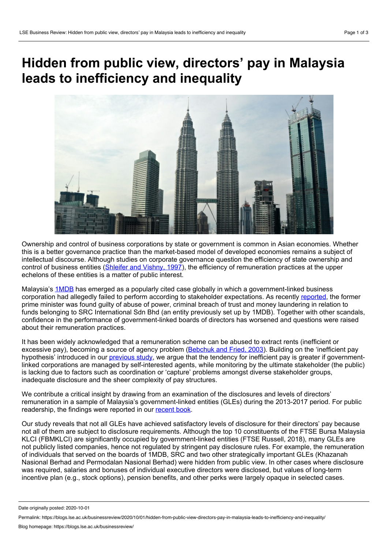## **Hidden from public view, directors' pay in Malaysia leads to inefficiency and inequality**



Ownership and control of business corporations by state or government is common in Asian economies. Whether this is a better governance practice than the market-based model of developed economies remains a subject of intellectual discourse. Although studies on corporate governance question the efficiency of state ownership and control of business entities [\(Shleifer](https://scholar.harvard.edu/files/shleifer/files/surveycorpgov.pdf) and Vishny, 1997), the efficiency of remuneration practices at the upper echelons of these entities is a matter of public interest.

Malaysia's [1MDB](https://www.justice.gov/opa/pr/united-states-reaches-settlement-recover-more-700-million-assets-allegedly-traceable) has emerged as a popularly cited case globally in which a government-linked business corporation had allegedly failed to perform according to stakeholder expectations. As recently [reported](https://www.theedgemarkets.com/article/src-trial-najib-found-guilty-all-charges), the former prime minister was found guilty of abuse of power, criminal breach of trust and money laundering in relation to funds belonging to SRC International Sdn Bhd (an entity previously set up by 1MDB). Together with other scandals, confidence in the performance of government-linked boards of directors has worsened and questions were raised about their remuneration practices.

It has been widely acknowledged that a remuneration scheme can be abused to extract rents (inefficient or excessive pay), becoming a source of agency problem [\(Bebchuk](http://www.law.harvard.edu/programs/corp_gov/papers/2003.Bebchuk-Fried.Executive.Compensation.pdf) and Fried, 2003). Building on the 'inefficient pay hypothesis' introduced in our [previous](https://www.tandfonline.com/doi/abs/10.1080/00036846.2014.887192) study, we argue that the tendency for inefficient pay is greater if governmentlinked corporations are managed by self-interested agents, while monitoring by the ultimate stakeholder (the public) is lacking due to factors such as coordination or 'capture' problems amongst diverse stakeholder groups, inadequate disclosure and the sheer complexity of pay structures.

We contribute a critical insight by drawing from an examination of the disclosures and levels of directors' remuneration in a sample of Malaysia's government-linked entities (GLEs) during the 2013-2017 period. For public readership, the findings were reported in our [recent](https://arecabooks.com/product/how-much-is-hidden/) book.

Our study reveals that not all GLEs have achieved satisfactory levels of disclosure for their directors' pay because not all of them are subject to disclosure requirements. Although the top 10 constituents of the FTSE Bursa Malaysia KLCI (FBMKLCI) are significantly occupied by government-linked entities (FTSE Russell, 2018), many GLEs are not publicly listed companies, hence not regulated by stringent pay disclosure rules. For example, the remuneration of individuals that served on the boards of 1MDB, SRC and two other strategically important GLEs (Khazanah Nasional Berhad and Permodalan Nasional Berhad) were hidden from public view. In other cases where disclosure was required, salaries and bonuses of individual executive directors were disclosed, but values of long-term incentive plan (e.g., stock options), pension benefits, and other perks were largely opaque in selected cases.

Date originally posted: 2020-10-01

Permalink: https://blogs.lse.ac.uk/businessreview/2020/10/01/hidden-from-public-view-directors-pay-in-malaysia-leads-to-inefficiency-and-inequality/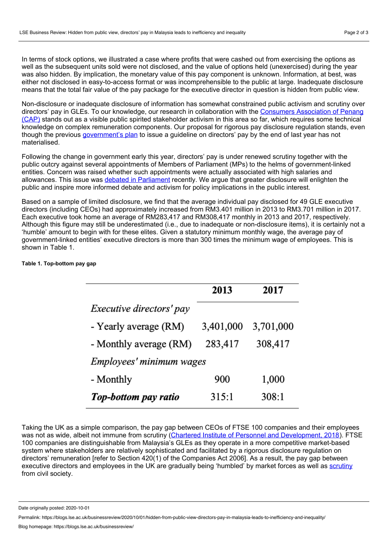In terms of stock options, we illustrated a case where profits that were cashed out from exercising the options as well as the subsequent units sold were not disclosed, and the value of options held (unexercised) during the year was also hidden. By implication, the monetary value of this pay component is unknown. Information, at best, was either not disclosed in easy-to-access format or was incomprehensible to the public at large. Inadequate disclosure means that the total fair value of the pay package for the executive director in question is hidden from public view.

Non-disclosure or inadequate disclosure of information has somewhat constrained public activism and scrutiny over directors' pay in GLEs. To our knowledge, our research in [collaboration](https://www.nst.com.my/news/nation/2019/10/530864/cap-more-transparency-needed-salaries-gle-directors) with the Consumers Association of Penang (CAP) stands out as a visible public spirited stakeholder activism in this area so far, which requires some technical knowledge on complex remuneration components. Our proposal for rigorous pay disclosure regulation stands, even though the previous [government's](https://www.freemalaysiatoday.com/category/nation/2019/07/15/salary-guideline-for-glc-bosses-by-year-end/) plan to issue a guideline on directors' pay by the end of last year has not materialised.

Following the change in government early this year, directors' pay is under renewed scrutiny together with the public outcry against several appointments of Members of Parliament (MPs) to the helms of government-linked entities. Concern was raised whether such appointments were actually associated with high salaries and allowances. This issue was debated in [Parliament](https://www.theedgemarkets.com/article/tajuddin-mahdzir-deny-receiving-high-salaries-allowances-glc-chairmen) recently. We argue that greater disclosure will enlighten the public and inspire more informed debate and activism for policy implications in the public interest.

Based on a sample of limited disclosure, we find that the average individual pay disclosed for 49 GLE executive directors (including CEOs) had approximately increased from RM3.401 million in 2013 to RM3.701 million in 2017. Each executive took home an average of RM283,417 and RM308,417 monthly in 2013 and 2017, respectively. Although this figure may still be underestimated (i.e., due to inadequate or non-disclosure items), it is certainly not a 'humble' amount to begin with for these elites. Given a statutory minimum monthly wage, the average pay of government-linked entities' executive directors is more than 300 times the minimum wage of employees. This is shown in Table 1.

## **Table 1. Top-bottom pay gap**

| 2013                     | 2017      |
|--------------------------|-----------|
|                          |           |
| 3,401,000                | 3,701,000 |
| 283,417                  | 308,417   |
| Employees' minimum wages |           |
| 900                      | 1,000     |
| 315:1                    | 308:1     |
|                          |           |

Taking the UK as a simple comparison, the pay gap between CEOs of FTSE 100 companies and their employees was not as wide, albeit not immune from scrutiny (Chartered Institute of Personnel and [Development,](https://www.cipd.co.uk/knowledge/strategy/reward/executive-pay-ftse-100-2018) 2018). FTSE 100 companies are distinguishable from Malaysia's GLEs as they operate in a more competitive market-based system where stakeholders are relatively sophisticated and facilitated by a rigorous disclosure regulation on directors' remuneration [refer to Section 420(1) of the Companies Act 2006]. As a result, the pay gap between executive directors and employees in the UK are gradually being 'humbled' by market forces as well as [scrutiny](https://www.bbc.com/news/business-42559224) from civil society.

Date originally posted: 2020-10-01

Permalink: https://blogs.lse.ac.uk/businessreview/2020/10/01/hidden-from-public-view-directors-pay-in-malaysia-leads-to-inefficiency-and-inequality/